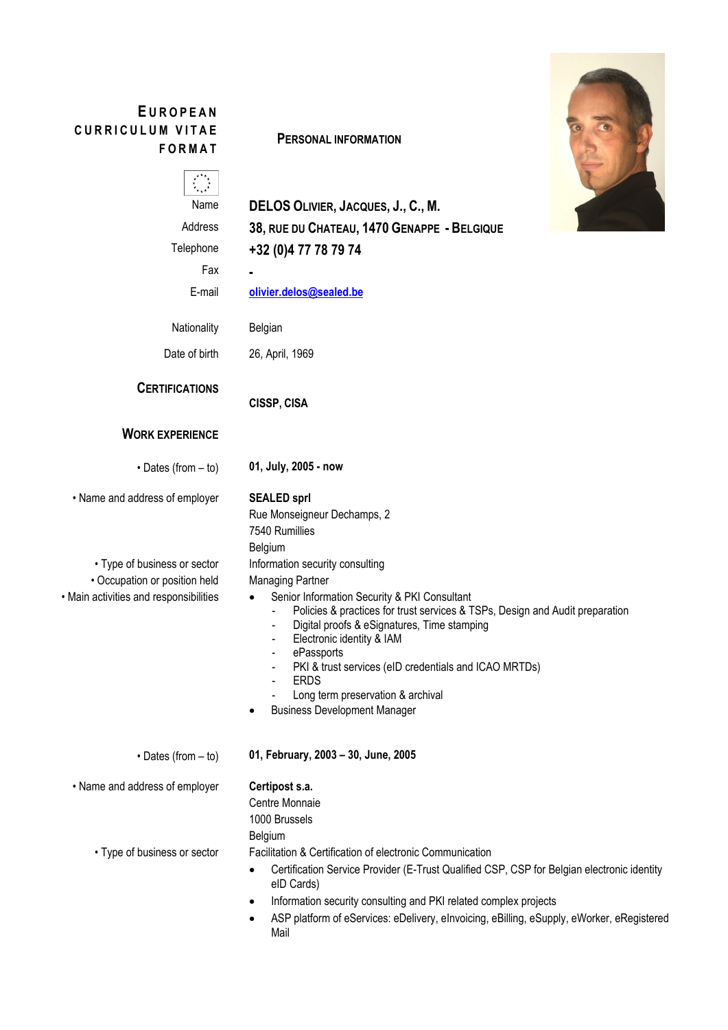# **E UROPEAN CURRICULUM VITAE FORMAT**

**PERSONAL INFORMATION**

Name **DELOS OLIVIER, JACQUES, J., C., M.** Address **38, RUE DU CHATEAU, 1470 GENAPPE - BELGIQUE** Telephone **+32 (0)4 77 78 79 74**

Fax **-** E-mail **[olivier.delos@sealed.be](mailto:olivier.delos@sealed.be)**

Nationality Belgian

Date of birth 26, April, 1969

**CERTIFICATIONS**

**CISSP, CISA**

# **WORK EXPERIENCE**

• Dates (from – to) **01, July, 2005 - now**

• Name and address of employer **SEALED sprl**

7540 Rumillies Belgium

Rue Monseigneur Dechamps, 2

• Type of business or sector Information security consulting • Occupation or position held Managing Partner

• Main activities and responsibilities • Senior Information Security & PKI Consultant

- Policies & practices for trust services & TSPs, Design and Audit preparation
- Digital proofs & eSignatures, Time stamping
- Electronic identity & IAM
- ePassports
- PKI & trust services (eID credentials and ICAO MRTDs)
- **ERDS**
- Long term preservation & archival
- Business Development Manager

• Dates (from – to) **01, February, 2003 – 30, June, 2005**

• Name and address of employer **Certipost s.a.**

Centre Monnaie

1000 Brussels

Belgium

• Type of business or sector Facilitation & Certification of electronic Communication

- Certification Service Provider (E-Trust Qualified CSP, CSP for Belgian electronic identity eID Cards)
- Information security consulting and PKI related complex projects
- ASP platform of eServices: eDelivery, eInvoicing, eBilling, eSupply, eWorker, eRegistered Mail

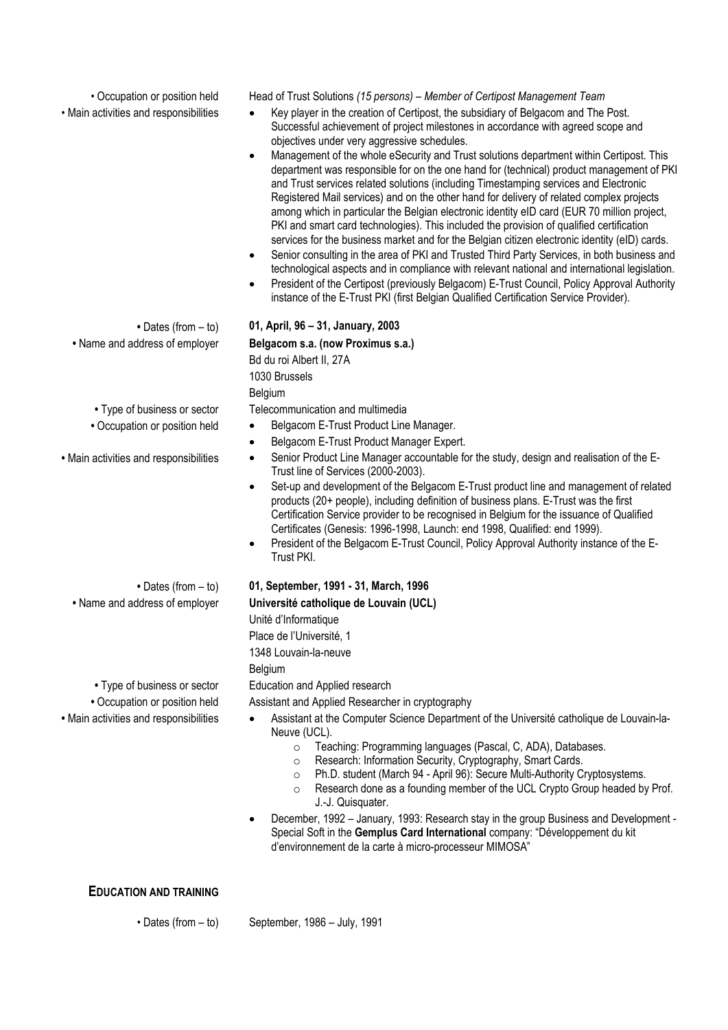• Occupation or position held Head of Trust Solutions *(15 persons) – Member of Certipost Management Team*

- Main activities and responsibilities Key player in the creation of Certipost, the subsidiary of Belgacom and The Post. Successful achievement of project milestones in accordance with agreed scope and objectives under very aggressive schedules.
	- Management of the whole eSecurity and Trust solutions department within Certipost. This department was responsible for on the one hand for (technical) product management of PKI and Trust services related solutions (including Timestamping services and Electronic Registered Mail services) and on the other hand for delivery of related complex projects among which in particular the Belgian electronic identity eID card (EUR 70 million project, PKI and smart card technologies). This included the provision of qualified certification services for the business market and for the Belgian citizen electronic identity (eID) cards.
	- Senior consulting in the area of PKI and Trusted Third Party Services, in both business and technological aspects and in compliance with relevant national and international legislation.
	- President of the Certipost (previously Belgacom) E-Trust Council, Policy Approval Authority instance of the E-Trust PKI (first Belgian Qualified Certification Service Provider).
	- Dates (from to) **01, April, 96 – 31, January, 2003 •** Name and address of employer **Belgacom s.a. (now Proximus s.a.)**

**•** Type of business or sector Telecommunication and multimedia

- Occupation or position held **•** Belgacom E-Trust Product Line Manager.
	- Belgacom E-Trust Product Manager Expert.

Bd du roi Albert II, 27A

1030 Brussels Belgium

- Main activities and responsibilities Senior Product Line Manager accountable for the study, design and realisation of the E-Trust line of Services (2000-2003).
	- Set-up and development of the Belgacom E-Trust product line and management of related products (20+ people), including definition of business plans. E-Trust was the first Certification Service provider to be recognised in Belgium for the issuance of Qualified Certificates (Genesis: 1996-1998, Launch: end 1998, Qualified: end 1999).
	- President of the Belgacom E-Trust Council, Policy Approval Authority instance of the E-Trust PKI.

# **•** Dates (from – to) **01, September, 1991 - 31, March, 1996**

**•** Name and address of employer **Université catholique de Louvain (UCL)**

Unité d'Informatique

Place de l'Université, 1

1348 Louvain-la-neuve

**Belgium** 

• Occupation or position held Assistant and Applied Researcher in cryptography

- Main activities and responsibilities Assistant at the Computer Science Department of the Université catholique de Louvain-la-Neuve (UCL).
	- o Teaching: Programming languages (Pascal, C, ADA), Databases.
	- Research: Information Security, Cryptography, Smart Cards.<br>○ Ph.D. student (March 94 April 96): Secure Multi-Authority C
	- o Ph.D. student (March 94 April 96): Secure Multi-Authority Cryptosystems.
	- Research done as a founding member of the UCL Crypto Group headed by Prof. J.-J. Quisquater.
	- December, 1992 January, 1993: Research stay in the group Business and Development Special Soft in the **Gemplus Card International** company: "Développement du kit d'environnement de la carte à micro-processeur MIMOSA"

**EDUCATION AND TRAINING**

• Dates (from – to) September, 1986 – July, 1991

- 
- 

**•** Type of business or sector Education and Applied research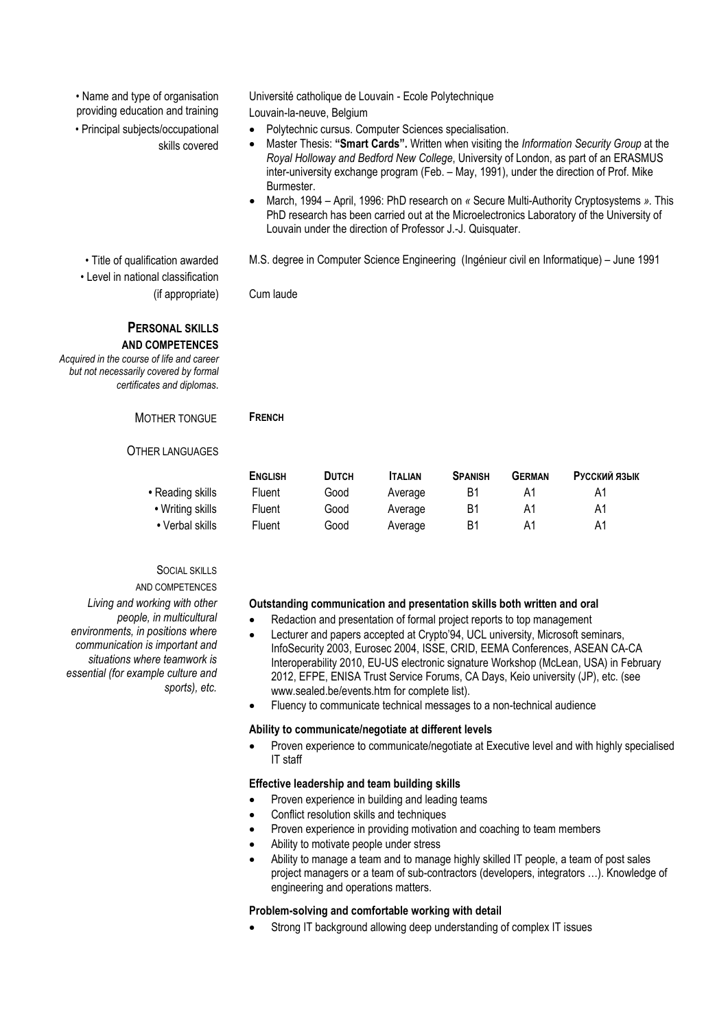• Name and type of organisation providing education and training

• Principal subjects/occupational skills covered

• Level in national classification (if appropriate) Cum laude

## **PERSONAL SKILLS AND COMPETENCES**

*Acquired in the course of life and career but not necessarily covered by formal certificates and diplomas*.

# MOTHER TONGUE **FRENCH**

## OTHER LANGUAGES

- Writing skills
- Verbal skills

# SOCIAL SKILLS

AND COMPETENCES

*Living and working with other people, in multicultural environments, in positions where communication is important and situations where teamwork is essential (for example culture and sports), etc.*

Université catholique de Louvain - Ecole Polytechnique Louvain-la-neuve, Belgium

- Polytechnic cursus. Computer Sciences specialisation.
- Master Thesis: **"Smart Cards".** Written when visiting the *Information Security Group* at the *Royal Holloway and Bedford New College*, University of London, as part of an ERASMUS inter-university exchange program (Feb. – May, 1991), under the direction of Prof. Mike Burmester.
- March, 1994 April, 1996: PhD research on *«* Secure Multi-Authority Cryptosystems *».* This PhD research has been carried out at the Microelectronics Laboratory of the University of Louvain under the direction of Professor J.-J. Quisquater.

• Title of qualification awarded M.S. degree in Computer Science Engineering (Ingénieur civil en Informatique) – June 1991

|                  | <b>ENGLISH</b> | <b>DUTCH</b> | <b>ITALIAN</b> | <b>SPANISH</b> | GERMAN | Русский язык |
|------------------|----------------|--------------|----------------|----------------|--------|--------------|
| • Reading skills | Fluent         | Good         | Average        | Β1             | Α1     | Α1           |
| • Writing skills | Fluent         | Good         | Average        | B1             | Α1     | Α1           |
| • Verbal skills  | Fluent         | Good         | Average        | B1             | Α1     | A1           |

## **Outstanding communication and presentation skills both written and oral**

- Redaction and presentation of formal project reports to top management
- Lecturer and papers accepted at Crypto'94, UCL university, Microsoft seminars, InfoSecurity 2003, Eurosec 2004, ISSE, CRID, EEMA Conferences, ASEAN CA-CA Interoperability 2010, EU-US electronic signature Workshop (McLean, USA) in February 2012, EFPE, ENISA Trust Service Forums, CA Days, Keio university (JP), etc. (see www.sealed.be/events.htm for complete list).
- Fluency to communicate technical messages to a non-technical audience

## **Ability to communicate/negotiate at different levels**

• Proven experience to communicate/negotiate at Executive level and with highly specialised IT staff

## **Effective leadership and team building skills**

- Proven experience in building and leading teams
- Conflict resolution skills and techniques
- Proven experience in providing motivation and coaching to team members
- Ability to motivate people under stress
- Ability to manage a team and to manage highly skilled IT people, a team of post sales project managers or a team of sub-contractors (developers, integrators …). Knowledge of engineering and operations matters.

## **Problem-solving and comfortable working with detail**

• Strong IT background allowing deep understanding of complex IT issues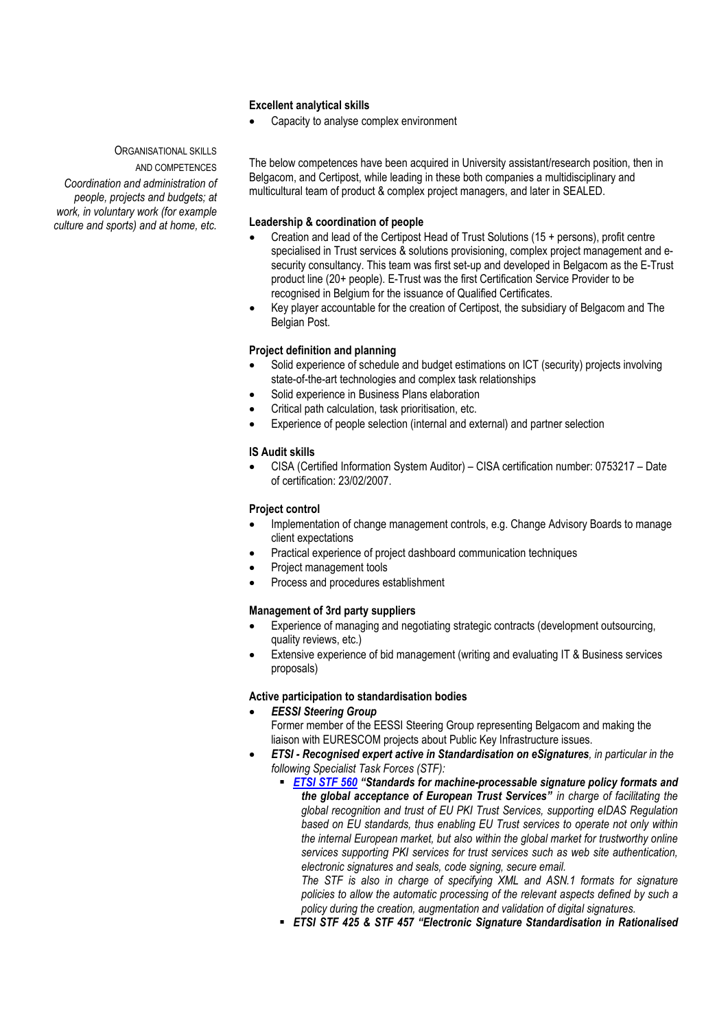### **Excellent analytical skills**

• Capacity to analyse complex environment

ORGANISATIONAL SKILLS AND COMPETENCES

*Coordination and administration of people, projects and budgets; at work, in voluntary work (for example culture and sports) and at home, etc.*

The below competences have been acquired in University assistant/research position, then in Belgacom, and Certipost, while leading in these both companies a multidisciplinary and multicultural team of product & complex project managers, and later in SEALED.

### **Leadership & coordination of people**

- Creation and lead of the Certipost Head of Trust Solutions (15 + persons), profit centre specialised in Trust services & solutions provisioning, complex project management and esecurity consultancy. This team was first set-up and developed in Belgacom as the E-Trust product line (20+ people). E-Trust was the first Certification Service Provider to be recognised in Belgium for the issuance of Qualified Certificates.
- Key player accountable for the creation of Certipost, the subsidiary of Belgacom and The Belgian Post.

#### **Project definition and planning**

- Solid experience of schedule and budget estimations on ICT (security) projects involving state-of-the-art technologies and complex task relationships
- Solid experience in Business Plans elaboration
- Critical path calculation, task prioritisation, etc.
- Experience of people selection (internal and external) and partner selection

## **IS Audit skills**

• CISA (Certified Information System Auditor) – CISA certification number: 0753217 – Date of certification: 23/02/2007.

### **Project control**

- Implementation of change management controls, e.g. Change Advisory Boards to manage client expectations
- Practical experience of project dashboard communication techniques
- Project management tools
- Process and procedures establishment

#### **Management of 3rd party suppliers**

- Experience of managing and negotiating strategic contracts (development outsourcing, quality reviews, etc.)
- Extensive experience of bid management (writing and evaluating IT & Business services proposals)

#### **Active participation to standardisation bodies**

- *EESSI Steering Group*  Former member of the EESSI Steering Group representing Belgacom and making the liaison with EURESCOM projects about Public Key Infrastructure issues.
- *ETSI - Recognised expert active in Standardisation on eSignatures, in particular in the following Specialist Task Forces (STF):*
	- *[ETSI STF 560](https://portal.etsi.org/STF/stfs/STFHomePages/STF560) "Standards for machine-processable signature policy formats and the global acceptance of European Trust Services" in charge of facilitating the global recognition and trust of EU PKI Trust Services, supporting eIDAS Regulation based on EU standards, thus enabling EU Trust services to operate not only within the internal European market, but also within the global market for trustworthy online services supporting PKI services for trust services such as web site authentication, electronic signatures and seals, code signing, secure email.*

*The STF is also in charge of specifying XML and ASN.1 formats for signature policies to allow the automatic processing of the relevant aspects defined by such a policy during the creation, augmentation and validation of digital signatures.*

*ETSI STF 425 & STF 457 "Electronic Signature Standardisation in Rationalised*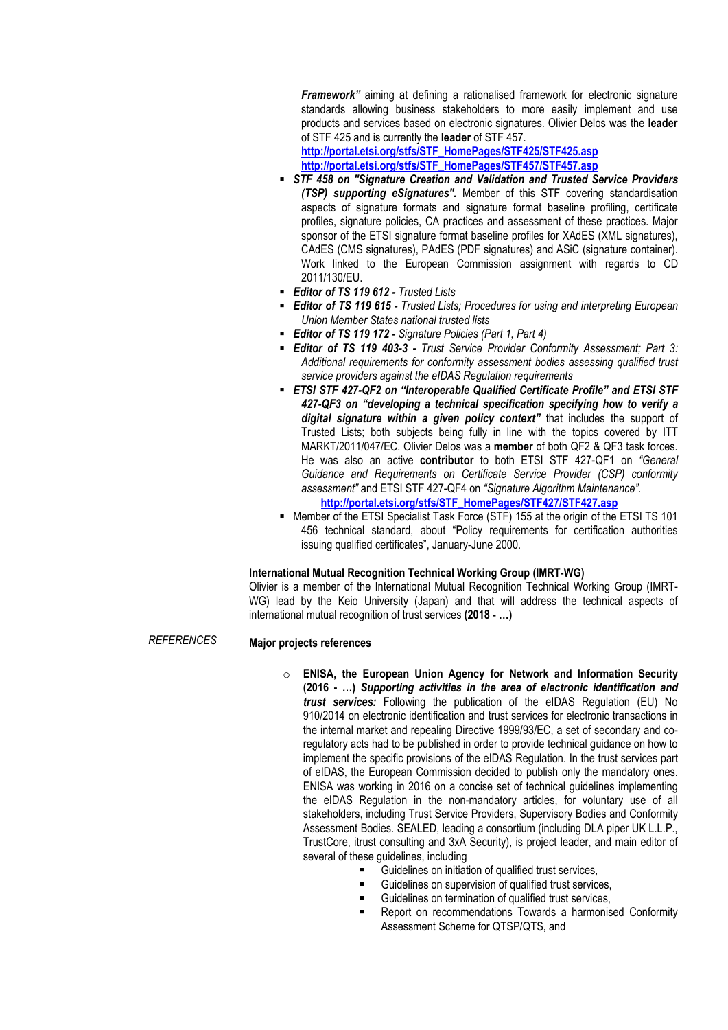*Framework"* aiming at defining a rationalised framework for electronic signature standards allowing business stakeholders to more easily implement and use products and services based on electronic signatures. Olivier Delos was the **leader** of STF 425 and is currently the **leader** of STF 457.

**[http://portal.etsi.org/stfs/STF\\_HomePages/STF425/STF425.asp](http://portal.etsi.org/stfs/STF_HomePages/STF425/STF425.asp) [http://portal.etsi.org/stfs/STF\\_HomePages/STF457/STF457.asp](http://portal.etsi.org/stfs/STF_HomePages/STF457/STF457.asp)**

- *STF 458 on "Signature Creation and Validation and Trusted Service Providers (TSP) supporting eSignatures".* Member of this STF covering standardisation aspects of signature formats and signature format baseline profiling, certificate profiles, signature policies, CA practices and assessment of these practices. Major sponsor of the ETSI signature format baseline profiles for XAdES (XML signatures), CAdES (CMS signatures), PAdES (PDF signatures) and ASiC (signature container). Work linked to the European Commission assignment with regards to CD 2011/130/EU.
- *Editor of TS 119 612 - Trusted Lists*
- *Editor of TS 119 615 - Trusted Lists; Procedures for using and interpreting European Union Member States national trusted lists*
- *Editor of TS 119 172 - Signature Policies (Part 1, Part 4)*
- *Editor of TS 119 403-3 - Trust Service Provider Conformity Assessment; Part 3: Additional requirements for conformity assessment bodies assessing qualified trust service providers against the eIDAS Regulation requirements*
- *ETSI STF 427-QF2 on "Interoperable Qualified Certificate Profile" and ETSI STF 427-QF3 on "developing a technical specification specifying how to verify a digital signature within a given policy context"* that includes the support of Trusted Lists; both subjects being fully in line with the topics covered by ITT MARKT/2011/047/EC. Olivier Delos was a **member** of both QF2 & QF3 task forces. He was also an active **contributor** to both ETSI STF 427-QF1 on *"General Guidance and Requirements on Certificate Service Provider (CSP) conformity assessment"* and ETSI STF 427-QF4 on *"Signature Algorithm Maintenance".*
	- **[http://portal.etsi.org/stfs/STF\\_HomePages/STF427/STF427.asp](http://portal.etsi.org/stfs/STF_HomePages/STF427/STF427.asp)**
- Member of the ETSI Specialist Task Force (STF) 155 at the origin of the ETSI TS 101 456 technical standard, about "Policy requirements for certification authorities issuing qualified certificates", January-June 2000.

#### **International Mutual Recognition Technical Working Group (IMRT-WG)**

Olivier is a member of the International Mutual Recognition Technical Working Group (IMRT-WG) lead by the Keio University (Japan) and that will address the technical aspects of international mutual recognition of trust services **(2018 - …)**

*REFERENCES*

#### **Major projects references**

- o **ENISA, the European Union Agency for Network and Information Security (2016 - …)** *Supporting activities in the area of electronic identification and trust services:* Following the publication of the eIDAS Regulation (EU) No 910/2014 on electronic identification and trust services for electronic transactions in the internal market and repealing Directive 1999/93/EC, a set of secondary and coregulatory acts had to be published in order to provide technical guidance on how to implement the specific provisions of the eIDAS Regulation. In the trust services part of eIDAS, the European Commission decided to publish only the mandatory ones. ENISA was working in 2016 on a concise set of technical guidelines implementing the eIDAS Regulation in the non-mandatory articles, for voluntary use of all stakeholders, including Trust Service Providers, Supervisory Bodies and Conformity Assessment Bodies. SEALED, leading a consortium (including DLA piper UK L.L.P., TrustCore, itrust consulting and 3xA Security), is project leader, and main editor of several of these quidelines, including
	- Guidelines on initiation of qualified trust services,
	- Guidelines on supervision of qualified trust services,
	- Guidelines on termination of qualified trust services,
	- Report on recommendations Towards a harmonised Conformity Assessment Scheme for QTSP/QTS, and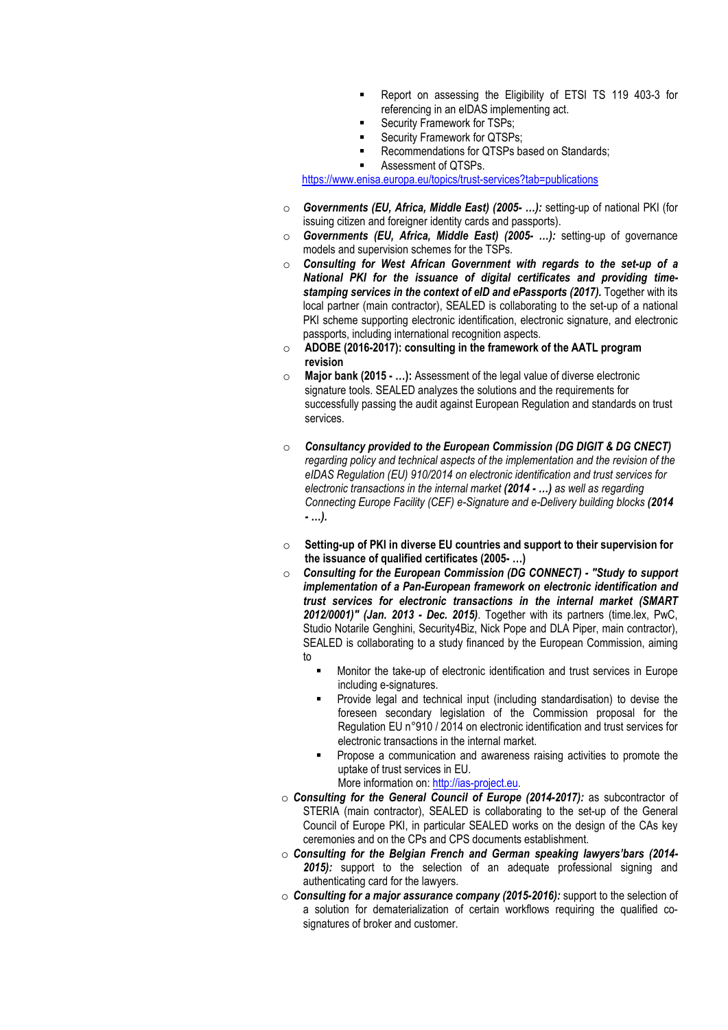- Report on assessing the Eligibility of ETSI TS 119 403-3 for referencing in an eIDAS implementing act.
- **Security Framework for TSPs;**
- Security Framework for QTSPs;
- Recommendations for QTSPs based on Standards;
	- Assessment of QTSPs.

<https://www.enisa.europa.eu/topics/trust-services?tab=publications>

- o *Governments (EU, Africa, Middle East) (2005- …):* setting-up of national PKI (for issuing citizen and foreigner identity cards and passports).
- o *Governments (EU, Africa, Middle East) (2005- …):* setting-up of governance models and supervision schemes for the TSPs.
- o *Consulting for West African Government with regards to the set-up of a National PKI for the issuance of digital certificates and providing timestamping services in the context of eID and ePassports (2017).* **Together with its** local partner (main contractor), SEALED is collaborating to the set-up of a national PKI scheme supporting electronic identification, electronic signature, and electronic passports, including international recognition aspects.
- o **ADOBE (2016-2017): consulting in the framework of the AATL program revision**
- o **Major bank (2015 - …):** Assessment of the legal value of diverse electronic signature tools. SEALED analyzes the solutions and the requirements for successfully passing the audit against European Regulation and standards on trust services.
- o *Consultancy provided to the European Commission (DG DIGIT & DG CNECT) regarding policy and technical aspects of the implementation and the revision of the eIDAS Regulation (EU) 910/2014 on electronic identification and trust services for electronic transactions in the internal market (2014 - …) as well as regarding Connecting Europe Facility (CEF) e-Signature and e-Delivery building blocks (2014 - …).*
- o **Setting-up of PKI in diverse EU countries and support to their supervision for the issuance of qualified certificates (2005- …)**
- o *Consulting for the European Commission (DG CONNECT) - "Study to support implementation of a Pan-European framework on electronic identification and trust services for electronic transactions in the internal market (SMART 2012/0001)" (Jan. 2013 - Dec. 2015)*. Together with its partners (time.lex, PwC, Studio Notarile Genghini, Security4Biz, Nick Pope and DLA Piper, main contractor), SEALED is collaborating to a study financed by the European Commission, aiming to
	- Monitor the take-up of electronic identification and trust services in Europe including e-signatures.
	- Provide legal and technical input (including standardisation) to devise the foreseen secondary legislation of the Commission proposal for the Regulation EU n°910 / 2014 on electronic identification and trust services for electronic transactions in the internal market.
	- Propose a communication and awareness raising activities to promote the uptake of trust services in EU.

More information on: [http://ias-project.eu.](http://ias-project.eu/)

- o *Consulting for the General Council of Europe (2014-2017):* as subcontractor of STERIA (main contractor), SEALED is collaborating to the set-up of the General Council of Europe PKI, in particular SEALED works on the design of the CAs key ceremonies and on the CPs and CPS documents establishment.
- o *Consulting for the Belgian French and German speaking lawyers'bars (2014- 2015):* support to the selection of an adequate professional signing and authenticating card for the lawyers.
- o *Consulting for a major assurance company (2015-2016):* support to the selection of a solution for dematerialization of certain workflows requiring the qualified cosignatures of broker and customer.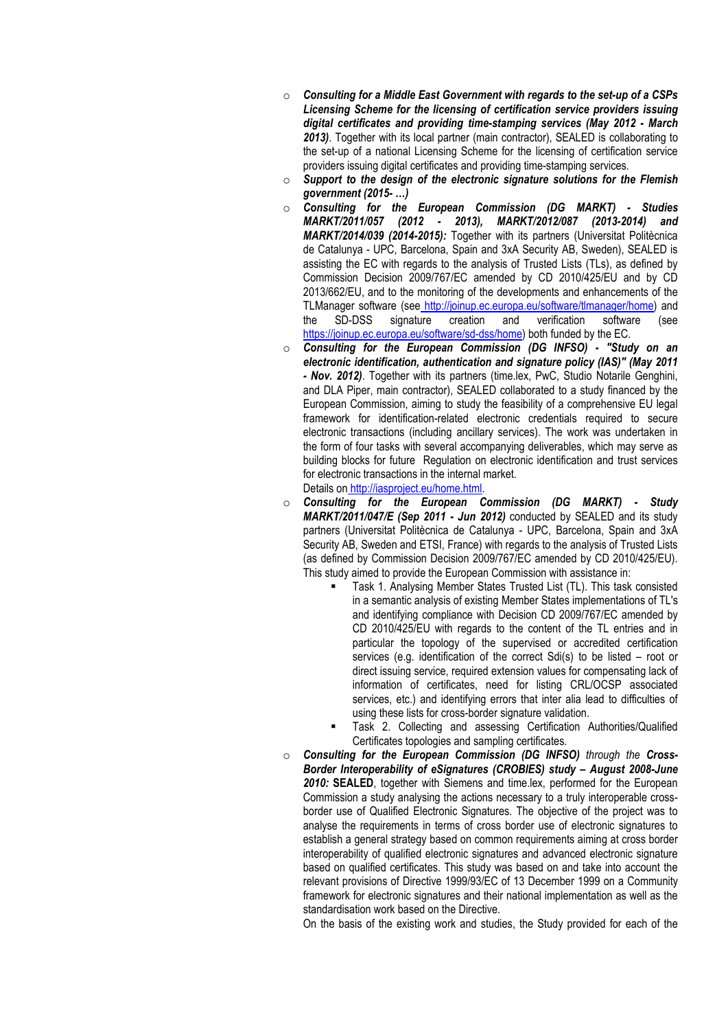- o *Consulting for a Middle East Government with regards to the set-up of a CSPs Licensing Scheme for the licensing of certification service providers issuing digital certificates and providing time-stamping services (May 2012 - March 2013)*. Together with its local partner (main contractor), SEALED is collaborating to the set-up of a national Licensing Scheme for the licensing of certification service providers issuing digital certificates and providing time-stamping services.
- o *Support to the design of the electronic signature solutions for the Flemish government (2015- …)*
- o *Consulting for the European Commission (DG MARKT) - Studies MARKT/2011/057 (2012 - 2013), MARKT/2012/087 (2013-2014) and MARKT/2014/039 (2014-2015):* Together with its partners (Universitat Politècnica de Catalunya - UPC, Barcelona, Spain and 3xA Security AB, Sweden), SEALED is assisting the EC with regards to the analysis of Trusted Lists (TLs), as defined by Commission Decision 2009/767/EC amended by CD 2010/425/EU and by CD 2013/662/EU, and to the monitoring of the developments and enhancements of the TLManager software (see [http://joinup.ec.europa.eu/software/tlmanager/home\)](http://joinup.ec.europa.eu/software/tlmanager/home) and<br>the SD-DSS signature creation and verification software (see the SD-DSS signature creation and verification software (see [https://joinup.ec.europa.eu/software/sd-dss/home\)](https://joinup.ec.europa.eu/software/sd-dss/home) both funded by the EC.
- o *Consulting for the European Commission (DG INFSO) - "Study on an electronic identification, authentication and signature policy (IAS)" (May 2011 - Nov. 2012)*. Together with its partners (time.lex, PwC, Studio Notarile Genghini, and DLA Piper, main contractor), SEALED collaborated to a study financed by the European Commission, aiming to study the feasibility of a comprehensive EU legal framework for identification-related electronic credentials required to secure electronic transactions (including ancillary services). The work was undertaken in the form of four tasks with several accompanying deliverables, which may serve as building blocks for future Regulation on electronic identification and trust services for electronic transactions in the internal market. Details on [http://iasproject.eu/home.html.](http://iasproject.eu/home.html)
- o *Consulting for the European Commission (DG MARKT) - Study MARKT/2011/047/E (Sep 2011 - Jun 2012)* conducted by SEALED and its study partners (Universitat Politècnica de Catalunya - UPC, Barcelona, Spain and 3xA Security AB, Sweden and ETSI, France) with regards to the analysis of Trusted Lists (as defined by Commission Decision 2009/767/EC amended by CD 2010/425/EU). This study aimed to provide the European Commission with assistance in:
	- Task 1. Analysing Member States Trusted List (TL). This task consisted in a semantic analysis of existing Member States implementations of TL's and identifying compliance with Decision CD 2009/767/EC amended by CD 2010/425/EU with regards to the content of the TL entries and in particular the topology of the supervised or accredited certification services (e.g. identification of the correct Sdi(s) to be listed – root or direct issuing service, required extension values for compensating lack of information of certificates, need for listing CRL/OCSP associated services, etc.) and identifying errors that inter alia lead to difficulties of using these lists for cross-border signature validation.
	- Task 2. Collecting and assessing Certification Authorities/Qualified Certificates topologies and sampling certificates.
- o *Consulting for the European Commission (DG INFSO) through the Cross-Border Interoperability of eSignatures (CROBIES) study – August 2008-June 2010:* **SEALED**, together with Siemens and time.lex, performed for the European Commission a study analysing the actions necessary to a truly interoperable crossborder use of Qualified Electronic Signatures. The objective of the project was to analyse the requirements in terms of cross border use of electronic signatures to establish a general strategy based on common requirements aiming at cross border interoperability of qualified electronic signatures and advanced electronic signature based on qualified certificates. This study was based on and take into account the relevant provisions of Directive 1999/93/EC of 13 December 1999 on a Community framework for electronic signatures and their national implementation as well as the standardisation work based on the Directive.

On the basis of the existing work and studies, the Study provided for each of the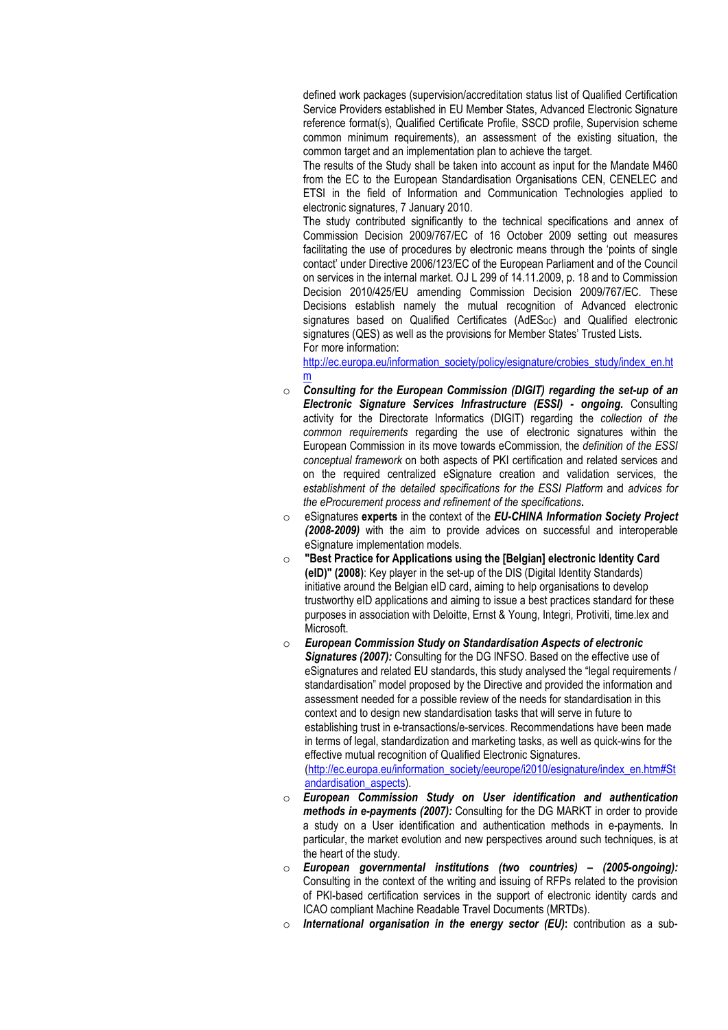defined work packages (supervision/accreditation status list of Qualified Certification Service Providers established in EU Member States, Advanced Electronic Signature reference format(s), Qualified Certificate Profile, SSCD profile, Supervision scheme common minimum requirements), an assessment of the existing situation, the common target and an implementation plan to achieve the target.

The results of the Study shall be taken into account as input for the Mandate M460 from the EC to the European Standardisation Organisations CEN, CENELEC and ETSI in the field of Information and Communication Technologies applied to electronic signatures, 7 January 2010.

The study contributed significantly to the technical specifications and annex of Commission Decision 2009/767/EC of 16 October 2009 setting out measures facilitating the use of procedures by electronic means through the 'points of single contact' under Directive 2006/123/EC of the European Parliament and of the Council on services in the internal market. OJ L 299 of 14.11.2009, p. 18 and to Commission Decision 2010/425/EU amending Commission Decision 2009/767/EC. These Decisions establish namely the mutual recognition of Advanced electronic signatures based on Qualified Certificates (AdES<sub>0C</sub>) and Qualified electronic signatures (QES) as well as the provisions for Member States' Trusted Lists. For more information:

[http://ec.europa.eu/information\\_society/policy/esignature/crobies\\_study/index\\_en.ht](http://ec.europa.eu/information_society/policy/esignature/crobies_study/index_en.htm) [m](http://ec.europa.eu/information_society/policy/esignature/crobies_study/index_en.htm)

- o *Consulting for the European Commission (DIGIT) regarding the set-up of an Electronic Signature Services Infrastructure (ESSI) - ongoing.* Consulting activity for the Directorate Informatics (DIGIT) regarding the *collection of the common requirements* regarding the use of electronic signatures within the European Commission in its move towards eCommission, the *definition of the ESSI conceptual framework* on both aspects of PKI certification and related services and on the required centralized eSignature creation and validation services, the *establishment of the detailed specifications for the ESSI Platform* and *advices for the eProcurement process and refinement of the specifications***.**
- o eSignatures **experts** in the context of the *EU-CHINA Information Society Project (2008-2009)* with the aim to provide advices on successful and interoperable eSignature implementation models.
- **"Best Practice for Applications using the [Belgian] electronic Identity Card (eID)" (2008)**: Key player in the set-up of the DIS (Digital Identity Standards) initiative around the Belgian eID card, aiming to help organisations to develop trustworthy eID applications and aiming to issue a best practices standard for these purposes in association with Deloitte, Ernst & Young, Integri, Protiviti, time.lex and Microsoft.
- o *European Commission Study on Standardisation Aspects of electronic Signatures (2007):* Consulting for the DG INFSO. Based on the effective use of eSignatures and related EU standards, this study analysed the "legal requirements / standardisation" model proposed by the Directive and provided the information and assessment needed for a possible review of the needs for standardisation in this context and to design new standardisation tasks that will serve in future to establishing trust in e-transactions/e-services. Recommendations have been made in terms of legal, standardization and marketing tasks, as well as quick-wins for the effective mutual recognition of Qualified Electronic Signatures. [\(http://ec.europa.eu/information\\_society/eeurope/i2010/esignature/index\\_en.htm#St](http://ec.europa.eu/information_society/eeurope/i2010/esignature/index_en.htm#Standardisation_aspects) [andardisation\\_aspects\)](http://ec.europa.eu/information_society/eeurope/i2010/esignature/index_en.htm#Standardisation_aspects).
- o *European Commission Study on User identification and authentication methods in e-payments (2007):* Consulting for the DG MARKT in order to provide a study on a User identification and authentication methods in e-payments. In particular, the market evolution and new perspectives around such techniques, is at the heart of the study.
- o *European governmental institutions (two countries) – (2005-ongoing):* Consulting in the context of the writing and issuing of RFPs related to the provision of PKI-based certification services in the support of electronic identity cards and ICAO compliant Machine Readable Travel Documents (MRTDs).
- o *International organisation in the energy sector (EU)***:** contribution as a sub-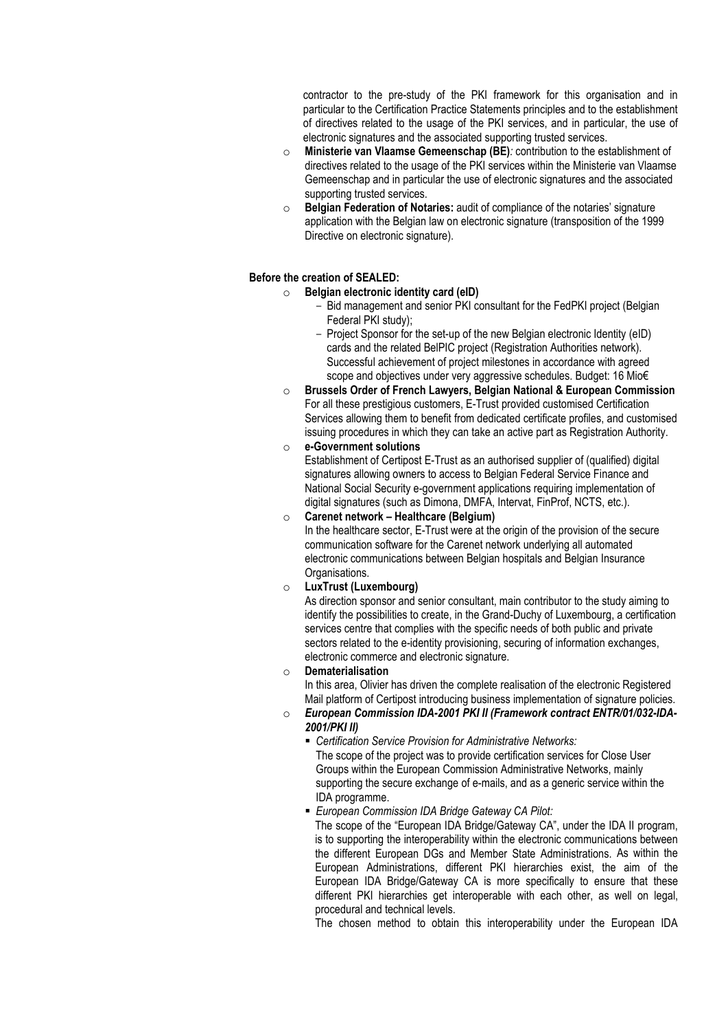contractor to the pre-study of the PKI framework for this organisation and in particular to the Certification Practice Statements principles and to the establishment of directives related to the usage of the PKI services, and in particular, the use of electronic signatures and the associated supporting trusted services.

- o **Ministerie van Vlaamse Gemeenschap (BE)***:* contribution to the establishment of directives related to the usage of the PKI services within the Ministerie van Vlaamse Gemeenschap and in particular the use of electronic signatures and the associated supporting trusted services.
- o **Belgian Federation of Notaries:** audit of compliance of the notaries' signature application with the Belgian law on electronic signature (transposition of the 1999 Directive on electronic signature).

## **Before the creation of SEALED:**

## o **Belgian electronic identity card (eID)**

- Bid management and senior PKI consultant for the FedPKI project (Belgian Federal PKI study);
- Project Sponsor for the set-up of the new Belgian electronic Identity (eID) cards and the related BelPIC project (Registration Authorities network). Successful achievement of project milestones in accordance with agreed scope and objectives under very aggressive schedules. Budget: 16 Mio€
- o **Brussels Order of French Lawyers, Belgian National & European Commission** For all these prestigious customers, E-Trust provided customised Certification Services allowing them to benefit from dedicated certificate profiles, and customised issuing procedures in which they can take an active part as Registration Authority.
- o **e-Government solutions**

Establishment of Certipost E-Trust as an authorised supplier of (qualified) digital signatures allowing owners to access to Belgian Federal Service Finance and National Social Security e-government applications requiring implementation of digital signatures (such as Dimona, DMFA, Intervat, FinProf, NCTS, etc.).

## o **Carenet network – Healthcare (Belgium)**

In the healthcare sector, E-Trust were at the origin of the provision of the secure communication software for the Carenet network underlying all automated electronic communications between Belgian hospitals and Belgian Insurance Organisations.

## o **LuxTrust (Luxembourg)**

As direction sponsor and senior consultant, main contributor to the study aiming to identify the possibilities to create, in the Grand-Duchy of Luxembourg, a certification services centre that complies with the specific needs of both public and private sectors related to the e-identity provisioning, securing of information exchanges, electronic commerce and electronic signature.

## o **Dematerialisation**

In this area, Olivier has driven the complete realisation of the electronic Registered Mail platform of Certipost introducing business implementation of signature policies.

## o *European Commission IDA-2001 PKI II (Framework contract ENTR/01/032-IDA-2001/PKI II)*

 *Certification Service Provision for Administrative Networks:*  The scope of the project was to provide certification services for Close User Groups within the European Commission Administrative Networks, mainly supporting the secure exchange of e-mails, and as a generic service within the IDA programme.

## *European Commission IDA Bridge Gateway CA Pilot:*

The scope of the "European IDA Bridge/Gateway CA", under the IDA II program, is to supporting the interoperability within the electronic communications between the different European DGs and Member State Administrations. As within the European Administrations, different PKI hierarchies exist, the aim of the European IDA Bridge/Gateway CA is more specifically to ensure that these different PKI hierarchies get interoperable with each other, as well on legal, procedural and technical levels.

The chosen method to obtain this interoperability under the European IDA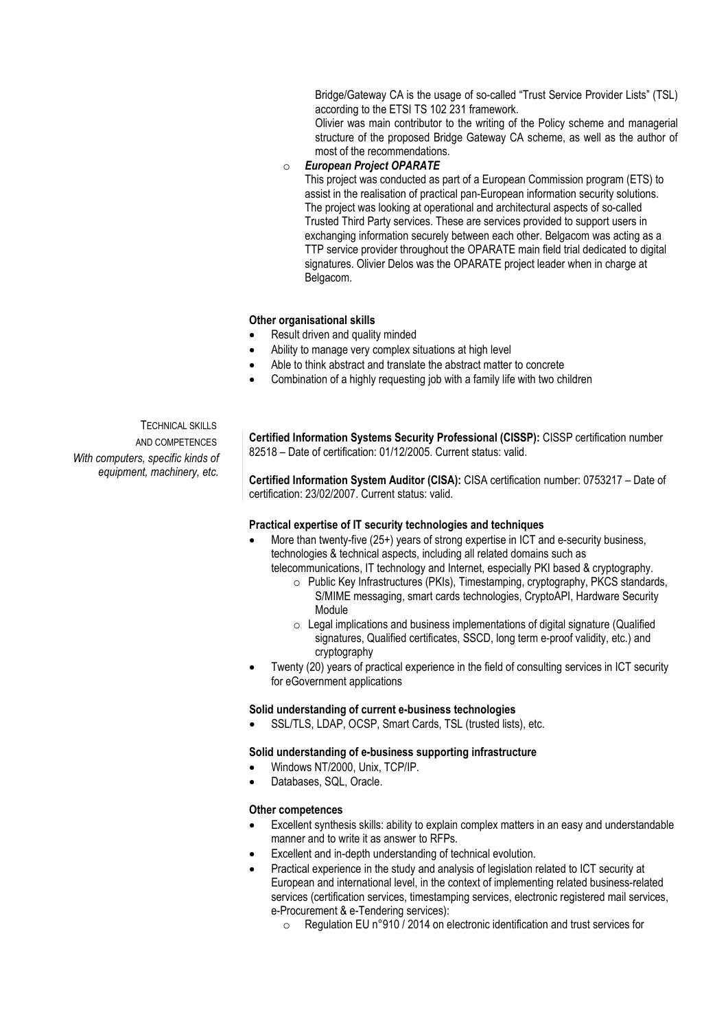Bridge/Gateway CA is the usage of so-called "Trust Service Provider Lists" (TSL) according to the ETSI TS 102 231 framework.

Olivier was main contributor to the writing of the Policy scheme and managerial structure of the proposed Bridge Gateway CA scheme, as well as the author of most of the recommendations.

o *European Project OPARATE* 

This project was conducted as part of a European Commission program (ETS) to assist in the realisation of practical pan-European information security solutions. The project was looking at operational and architectural aspects of so-called Trusted Third Party services. These are services provided to support users in exchanging information securely between each other. Belgacom was acting as a TTP service provider throughout the OPARATE main field trial dedicated to digital signatures. Olivier Delos was the OPARATE project leader when in charge at Belgacom.

## **Other organisational skills**

- Result driven and quality minded
- Ability to manage very complex situations at high level
- Able to think abstract and translate the abstract matter to concrete
- Combination of a highly requesting job with a family life with two children

TECHNICAL SKILLS AND COMPETENCES *With computers, specific kinds of equipment, machinery, etc.*

**Certified Information Systems Security Professional (CISSP):** CISSP certification number 82518 – Date of certification: 01/12/2005. Current status: valid.

**Certified Information System Auditor (CISA):** CISA certification number: 0753217 – Date of certification: 23/02/2007. Current status: valid.

## **Practical expertise of IT security technologies and techniques**

- More than twenty-five (25+) years of strong expertise in ICT and e-security business, technologies & technical aspects, including all related domains such as
	- telecommunications, IT technology and Internet, especially PKI based & cryptography. o Public Key Infrastructures (PKIs), Timestamping, cryptography, PKCS standards,
		- S/MIME messaging, smart cards technologies, CryptoAPI, Hardware Security Module
		- $\circ$  Legal implications and business implementations of digital signature (Qualified signatures, Qualified certificates, SSCD, long term e-proof validity, etc.) and cryptography
- Twenty (20) years of practical experience in the field of consulting services in ICT security for eGovernment applications

## **Solid understanding of current e-business technologies**

SSL/TLS, LDAP, OCSP, Smart Cards, TSL (trusted lists), etc.

## **Solid understanding of e-business supporting infrastructure**

- Windows NT/2000, Unix, TCP/IP.
- Databases, SQL, Oracle.

## **Other competences**

- Excellent synthesis skills: ability to explain complex matters in an easy and understandable manner and to write it as answer to RFPs.
- Excellent and in-depth understanding of technical evolution.
- Practical experience in the study and analysis of legislation related to ICT security at European and international level, in the context of implementing related business-related services (certification services, timestamping services, electronic registered mail services, e-Procurement & e-Tendering services):
	- o Regulation EU n°910 / 2014 on electronic identification and trust services for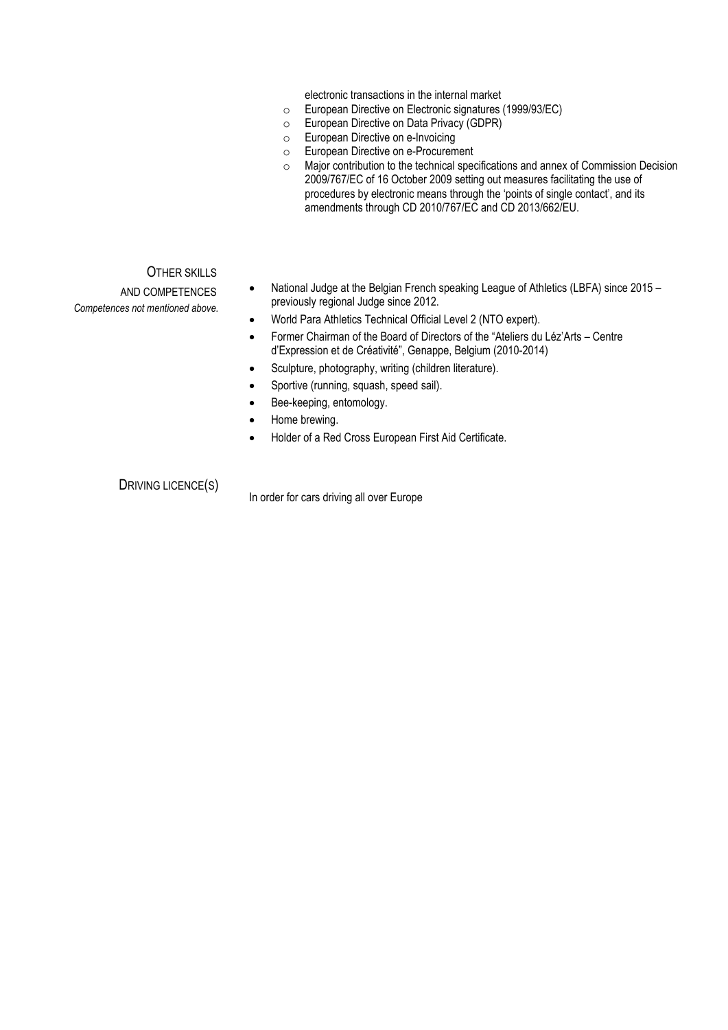electronic transactions in the internal market

- European Directive on Electronic signatures (1999/93/EC)<br>○ European Directive on Data Privacy (GDPR)<br>○ European Directive on e-Invoicing
- European Directive on Data Privacy (GDPR)
- European Directive on e-Invoicing
- o European Directive on e-Procurement
- Major contribution to the technical specifications and annex of Commission Decision 2009/767/EC of 16 October 2009 setting out measures facilitating the use of procedures by electronic means through the 'points of single contact', and its amendments through CD 2010/767/EC and CD 2013/662/EU.

OTHER SKILLS

AND COMPETENCES *Competences not mentioned above.*

- National Judge at the Belgian French speaking League of Athletics (LBFA) since 2015 previously regional Judge since 2012.
- World Para Athletics Technical Official Level 2 (NTO expert).
- Former Chairman of the Board of Directors of the "Ateliers du Léz'Arts Centre d'Expression et de Créativité", Genappe, Belgium (2010-2014)
- Sculpture, photography, writing (children literature).
- Sportive (running, squash, speed sail).
- Bee-keeping, entomology.
- Home brewing.
- Holder of a Red Cross European First Aid Certificate.

DRIVING LICENCE(S)<br>In order for cars driving all over Europe